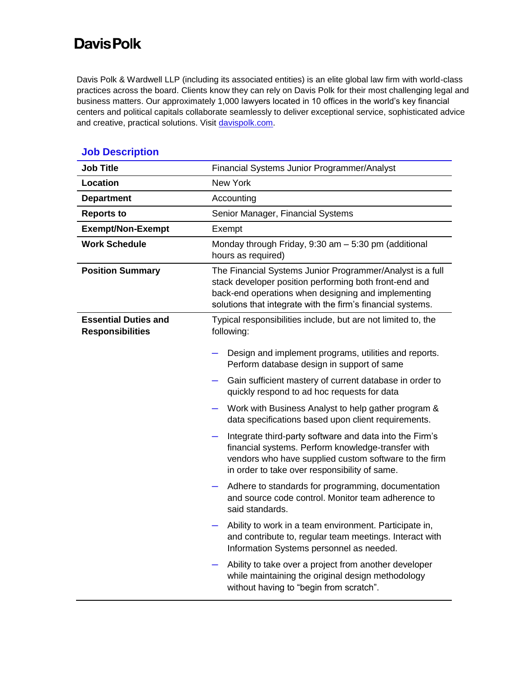## **DavisPolk**

Davis Polk & Wardwell LLP (including its associated entities) is an elite global law firm with world-class practices across the board. Clients know they can rely on Davis Polk for their most challenging legal and business matters. Our approximately 1,000 lawyers located in 10 offices in the world's key financial centers and political capitals collaborate seamlessly to deliver exceptional service, sophisticated advice and creative, practical solutions. Visit [davispolk.com.](https://www.davispolk.com/)

| <b>Job Title</b>                                       | Financial Systems Junior Programmer/Analyst                                                                                                                                                                                               |
|--------------------------------------------------------|-------------------------------------------------------------------------------------------------------------------------------------------------------------------------------------------------------------------------------------------|
| <b>Location</b>                                        | New York                                                                                                                                                                                                                                  |
| <b>Department</b>                                      | Accounting                                                                                                                                                                                                                                |
| <b>Reports to</b>                                      | Senior Manager, Financial Systems                                                                                                                                                                                                         |
| <b>Exempt/Non-Exempt</b>                               | Exempt                                                                                                                                                                                                                                    |
| <b>Work Schedule</b>                                   | Monday through Friday, 9:30 am - 5:30 pm (additional<br>hours as required)                                                                                                                                                                |
| <b>Position Summary</b>                                | The Financial Systems Junior Programmer/Analyst is a full<br>stack developer position performing both front-end and<br>back-end operations when designing and implementing<br>solutions that integrate with the firm's financial systems. |
| <b>Essential Duties and</b><br><b>Responsibilities</b> | Typical responsibilities include, but are not limited to, the<br>following:                                                                                                                                                               |
|                                                        | Design and implement programs, utilities and reports.<br>Perform database design in support of same                                                                                                                                       |
|                                                        | Gain sufficient mastery of current database in order to<br>—<br>quickly respond to ad hoc requests for data                                                                                                                               |
|                                                        | Work with Business Analyst to help gather program &<br>data specifications based upon client requirements.                                                                                                                                |
|                                                        | Integrate third-party software and data into the Firm's<br>financial systems. Perform knowledge-transfer with<br>vendors who have supplied custom software to the firm<br>in order to take over responsibility of same.                   |
|                                                        | Adhere to standards for programming, documentation<br>and source code control. Monitor team adherence to<br>said standards.                                                                                                               |
|                                                        | Ability to work in a team environment. Participate in,<br>and contribute to, regular team meetings. Interact with<br>Information Systems personnel as needed.                                                                             |
|                                                        | Ability to take over a project from another developer<br>while maintaining the original design methodology<br>without having to "begin from scratch".                                                                                     |

## **Job Description**